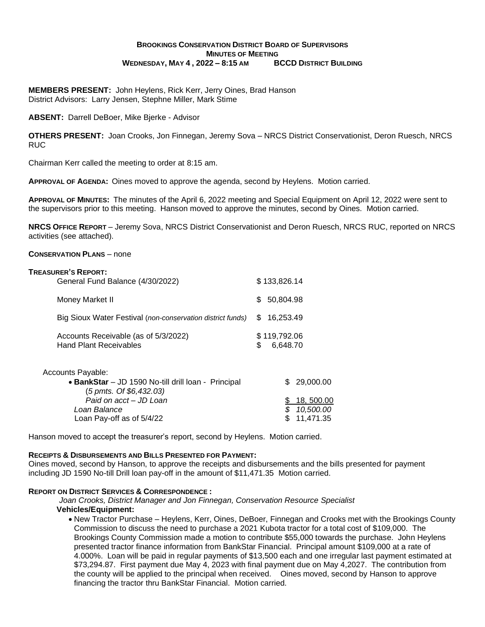# **BROOKINGS CONSERVATION DISTRICT BOARD OF SUPERVISORS MINUTES OF MEETING WEDNESDAY, MAY 4 , 2022 – 8:15 AM BCCD DISTRICT BUILDING**

**MEMBERS PRESENT:** John Heylens, Rick Kerr, Jerry Oines, Brad Hanson District Advisors: Larry Jensen, Stephne Miller, Mark Stime

**ABSENT:** Darrell DeBoer, Mike Bjerke - Advisor

**OTHERS PRESENT:** Joan Crooks, Jon Finnegan, Jeremy Sova – NRCS District Conservationist, Deron Ruesch, NRCS RUC

Chairman Kerr called the meeting to order at 8:15 am.

**APPROVAL OF AGENDA:** Oines moved to approve the agenda, second by Heylens. Motion carried.

**APPROVAL OF MINUTES:** The minutes of the April 6, 2022 meeting and Special Equipment on April 12, 2022 were sent to the supervisors prior to this meeting. Hanson moved to approve the minutes, second by Oines. Motion carried.

**NRCS OFFICE REPORT** – Jeremy Sova, NRCS District Conservationist and Deron Ruesch, NRCS RUC, reported on NRCS activities (see attached).

#### **CONSERVATION PLANS** – none

| <b>TREASURER'S REPORT:</b><br>General Fund Balance (4/30/2022)        | \$133,826.14                    |
|-----------------------------------------------------------------------|---------------------------------|
| Money Market II                                                       | 50,804.98<br>\$                 |
| Big Sioux Water Festival (non-conservation district funds)            | 16.253.49<br>S                  |
| Accounts Receivable (as of 5/3/2022)<br><b>Hand Plant Receivables</b> | \$119,792.06<br>\$.<br>6,648.70 |
| Accounts Payable:                                                     |                                 |

| JUIIIS Favable.                                     |             |
|-----------------------------------------------------|-------------|
| • BankStar - JD 1590 No-till drill loan - Principal | \$29,000.00 |
| (5 pmts. Of \$6,432.03)                             |             |
| Paid on acct - JD Loan                              | \$18,500.00 |
| Loan Balance                                        | \$10,500.00 |
| Loan Pay-off as of 5/4/22                           | \$11,471.35 |
|                                                     |             |

Hanson moved to accept the treasurer's report, second by Heylens. Motion carried.

#### **RECEIPTS & DISBURSEMENTS AND BILLS PRESENTED FOR PAYMENT:**

Oines moved, second by Hanson, to approve the receipts and disbursements and the bills presented for payment including JD 1590 No-till Drill loan pay-off in the amount of \$11,471.35 Motion carried.

#### **REPORT ON DISTRICT SERVICES & CORRESPONDENCE :**

 *Joan Crooks, District Manager and Jon Finnegan, Conservation Resource Specialist* **Vehicles/Equipment:**

• New Tractor Purchase – Heylens, Kerr, Oines, DeBoer, Finnegan and Crooks met with the Brookings County Commission to discuss the need to purchase a 2021 Kubota tractor for a total cost of \$109,000. The Brookings County Commission made a motion to contribute \$55,000 towards the purchase. John Heylens presented tractor finance information from BankStar Financial. Principal amount \$109,000 at a rate of 4.000%. Loan will be paid in regular payments of \$13,500 each and one irregular last payment estimated at \$73,294.87. First payment due May 4, 2023 with final payment due on May 4,2027. The contribution from the county will be applied to the principal when received. Oines moved, second by Hanson to approve financing the tractor thru BankStar Financial. Motion carried.